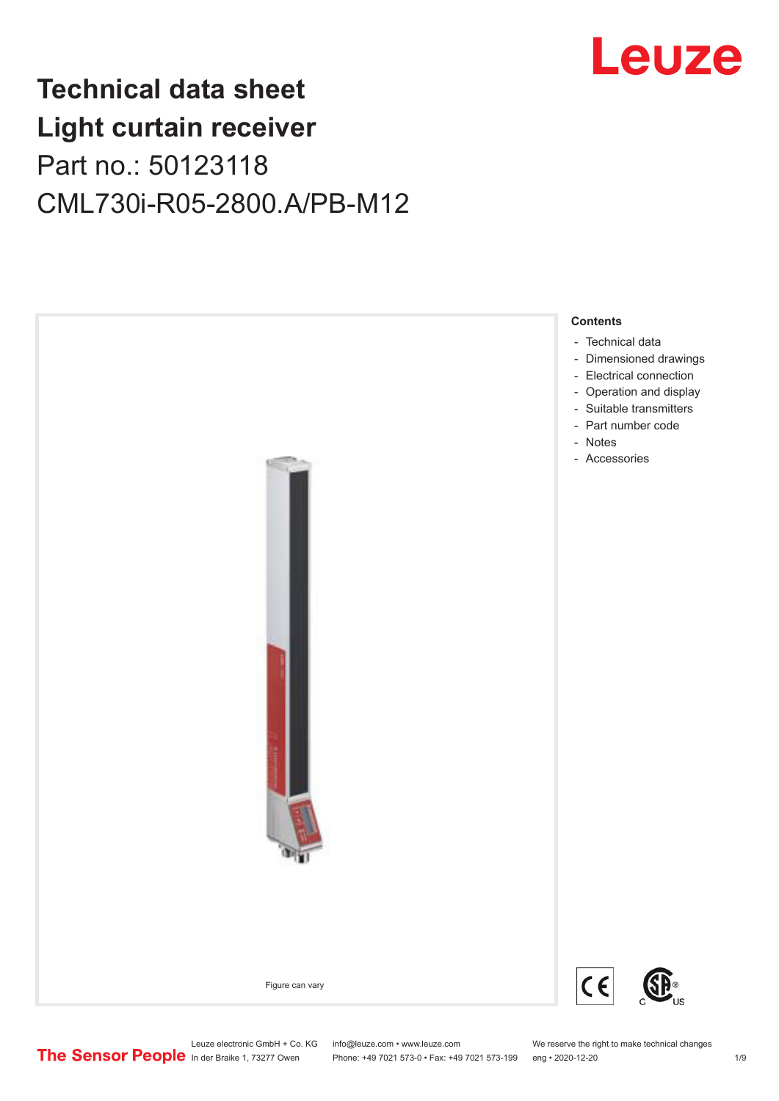

## **Technical data sheet Light curtain receiver** Part no.: 50123118 CML730i-R05-2800.A/PB-M12



Leuze electronic GmbH + Co. KG info@leuze.com • www.leuze.com We reserve the right to make technical changes<br>
The Sensor People in der Braike 1, 73277 Owen Phone: +49 7021 573-0 • Fax: +49 7021 573-199 eng • 2020-12-20

Phone: +49 7021 573-0 • Fax: +49 7021 573-199 eng • 2020-12-20 1 2020-12-20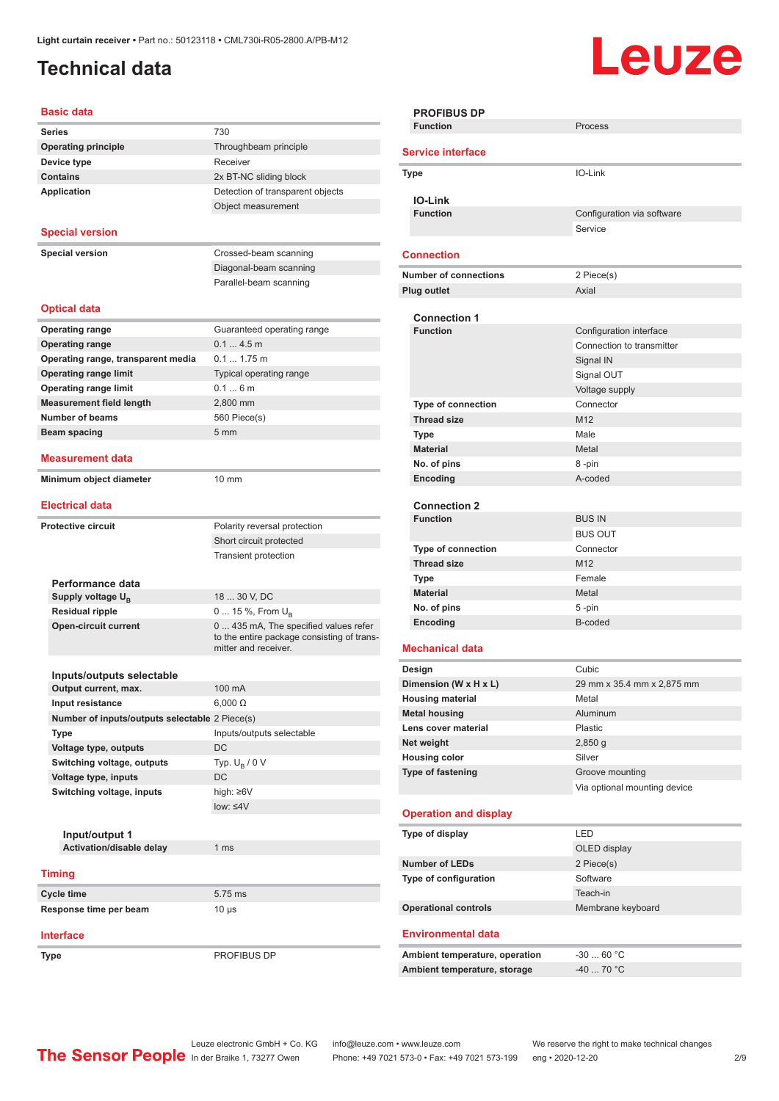## <span id="page-1-0"></span>**Technical data**

# Leuze

#### **Basic data**

| Daəlu uata                                     |                                                                                     |
|------------------------------------------------|-------------------------------------------------------------------------------------|
| <b>Series</b>                                  | 730                                                                                 |
| <b>Operating principle</b>                     | Throughbeam principle                                                               |
| Device type                                    | Receiver                                                                            |
| <b>Contains</b>                                | 2x BT-NC sliding block                                                              |
| <b>Application</b>                             | Detection of transparent objects                                                    |
|                                                | Object measurement                                                                  |
|                                                |                                                                                     |
| <b>Special version</b>                         |                                                                                     |
| <b>Special version</b>                         | Crossed-beam scanning                                                               |
|                                                | Diagonal-beam scanning                                                              |
|                                                | Parallel-beam scanning                                                              |
|                                                |                                                                                     |
| <b>Optical data</b>                            |                                                                                     |
|                                                |                                                                                     |
| <b>Operating range</b>                         | Guaranteed operating range                                                          |
| <b>Operating range</b>                         | 0.14.5m                                                                             |
| Operating range, transparent media             | $0.1 1.75$ m                                                                        |
| <b>Operating range limit</b>                   | Typical operating range                                                             |
| <b>Operating range limit</b>                   | 0.16m                                                                               |
| <b>Measurement field length</b>                | 2,800 mm                                                                            |
| <b>Number of beams</b>                         | 560 Piece(s)                                                                        |
| Beam spacing                                   | 5 <sub>mm</sub>                                                                     |
| <b>Measurement data</b>                        |                                                                                     |
|                                                |                                                                                     |
| Minimum object diameter                        | $10 \text{ mm}$                                                                     |
| <b>Electrical data</b>                         |                                                                                     |
|                                                |                                                                                     |
| <b>Protective circuit</b>                      | Polarity reversal protection                                                        |
|                                                | Short circuit protected                                                             |
|                                                | <b>Transient protection</b>                                                         |
|                                                |                                                                                     |
| Performance data                               |                                                                                     |
| Supply voltage U <sub>B</sub>                  | 18  30 V, DC                                                                        |
| <b>Residual ripple</b>                         | 0  15 %, From $U_{\rm B}$                                                           |
| <b>Open-circuit current</b>                    | 0  435 mA, The specified values refer<br>to the entire package consisting of trans- |
|                                                | mitter and receiver.                                                                |
|                                                |                                                                                     |
| Inputs/outputs selectable                      |                                                                                     |
| Output current, max.                           | 100 mA                                                                              |
| Input resistance                               | $6,000 \Omega$                                                                      |
| Number of inputs/outputs selectable 2 Piece(s) |                                                                                     |
| Type                                           | Inputs/outputs selectable                                                           |
| Voltage type, outputs                          | DC                                                                                  |
| Switching voltage, outputs                     | Typ. $U_{\rm B}$ / 0 V                                                              |
| Voltage type, inputs                           | DC                                                                                  |
| Switching voltage, inputs                      | high: $\geq 6V$                                                                     |
|                                                | $low: 4V$                                                                           |
|                                                |                                                                                     |
| Input/output 1                                 |                                                                                     |
| Activation/disable delay                       | 1 <sub>ms</sub>                                                                     |
| <b>Timing</b>                                  |                                                                                     |
|                                                |                                                                                     |
| <b>Cycle time</b>                              | 5.75 ms                                                                             |
| Response time per beam                         | $10 \mu s$                                                                          |
|                                                |                                                                                     |
| <b>Interface</b>                               |                                                                                     |
| Type                                           | PROFIBUS DP                                                                         |

| <b>PROFIBUS DP</b>                                                                                                                                                                                          |                              |
|-------------------------------------------------------------------------------------------------------------------------------------------------------------------------------------------------------------|------------------------------|
| <b>Function</b>                                                                                                                                                                                             | Process                      |
| <b>Service interface</b>                                                                                                                                                                                    |                              |
| <b>Type</b>                                                                                                                                                                                                 | IO-Link                      |
|                                                                                                                                                                                                             |                              |
| <b>IO-Link</b>                                                                                                                                                                                              |                              |
| <b>Function</b>                                                                                                                                                                                             | Configuration via software   |
|                                                                                                                                                                                                             | Service                      |
| <b>Connection</b>                                                                                                                                                                                           |                              |
| <b>Number of connections</b>                                                                                                                                                                                | 2 Piece(s)                   |
| Plug outlet                                                                                                                                                                                                 | Axial                        |
| <b>Connection 1</b>                                                                                                                                                                                         |                              |
| <b>Function</b>                                                                                                                                                                                             | Configuration interface      |
|                                                                                                                                                                                                             | Connection to transmitter    |
|                                                                                                                                                                                                             | Signal IN                    |
|                                                                                                                                                                                                             | Signal OUT                   |
|                                                                                                                                                                                                             | Voltage supply               |
| Type of connection                                                                                                                                                                                          | Connector                    |
|                                                                                                                                                                                                             |                              |
| <b>Thread size</b>                                                                                                                                                                                          | M12                          |
| <b>Type</b>                                                                                                                                                                                                 | Male                         |
| <b>Material</b>                                                                                                                                                                                             | Metal                        |
| No. of pins                                                                                                                                                                                                 | 8-pin                        |
| Encoding                                                                                                                                                                                                    | A-coded                      |
|                                                                                                                                                                                                             |                              |
| <b>Connection 2</b><br><b>Function</b>                                                                                                                                                                      |                              |
|                                                                                                                                                                                                             | <b>BUS IN</b>                |
|                                                                                                                                                                                                             | <b>BUS OUT</b>               |
| <b>Type of connection</b>                                                                                                                                                                                   | Connector                    |
| <b>Thread size</b>                                                                                                                                                                                          | M <sub>12</sub>              |
| <b>Type</b>                                                                                                                                                                                                 | Female                       |
| <b>Material</b>                                                                                                                                                                                             | Metal                        |
| No. of pins                                                                                                                                                                                                 | 5-pin                        |
| Encoding                                                                                                                                                                                                    | B-coded                      |
| <b>Mechanical data</b>                                                                                                                                                                                      |                              |
| Design                                                                                                                                                                                                      | Cubic                        |
| Dimension (W x H x L)                                                                                                                                                                                       | 29 mm x 35.4 mm x 2,875 mm   |
| <b>Housing material</b>                                                                                                                                                                                     | Metal                        |
|                                                                                                                                                                                                             |                              |
|                                                                                                                                                                                                             |                              |
|                                                                                                                                                                                                             | Aluminum                     |
|                                                                                                                                                                                                             | Plastic                      |
|                                                                                                                                                                                                             | $2,850$ g                    |
|                                                                                                                                                                                                             | Silver                       |
|                                                                                                                                                                                                             | Groove mounting              |
|                                                                                                                                                                                                             | Via optional mounting device |
|                                                                                                                                                                                                             |                              |
|                                                                                                                                                                                                             |                              |
|                                                                                                                                                                                                             | LED                          |
|                                                                                                                                                                                                             | OLED display                 |
|                                                                                                                                                                                                             | 2 Piece(s)                   |
|                                                                                                                                                                                                             |                              |
|                                                                                                                                                                                                             | Software                     |
| <b>Metal housing</b><br>Lens cover material<br>Net weight<br><b>Housing color</b><br>Type of fastening<br><b>Operation and display</b><br>Type of display<br><b>Number of LEDs</b><br>Type of configuration | Teach-in                     |
|                                                                                                                                                                                                             | Membrane keyboard            |
| <b>Operational controls</b><br><b>Environmental data</b>                                                                                                                                                    |                              |
| Ambient temperature, operation                                                                                                                                                                              | $-3060 °C$                   |

Leuze electronic GmbH + Co. KG info@leuze.com • www.leuze.com We reserve the right to make technical changes ln der Braike 1, 73277 Owen Phone: +49 7021 573-0 • Fax: +49 7021 573-199 eng • 2020-12-20 2/9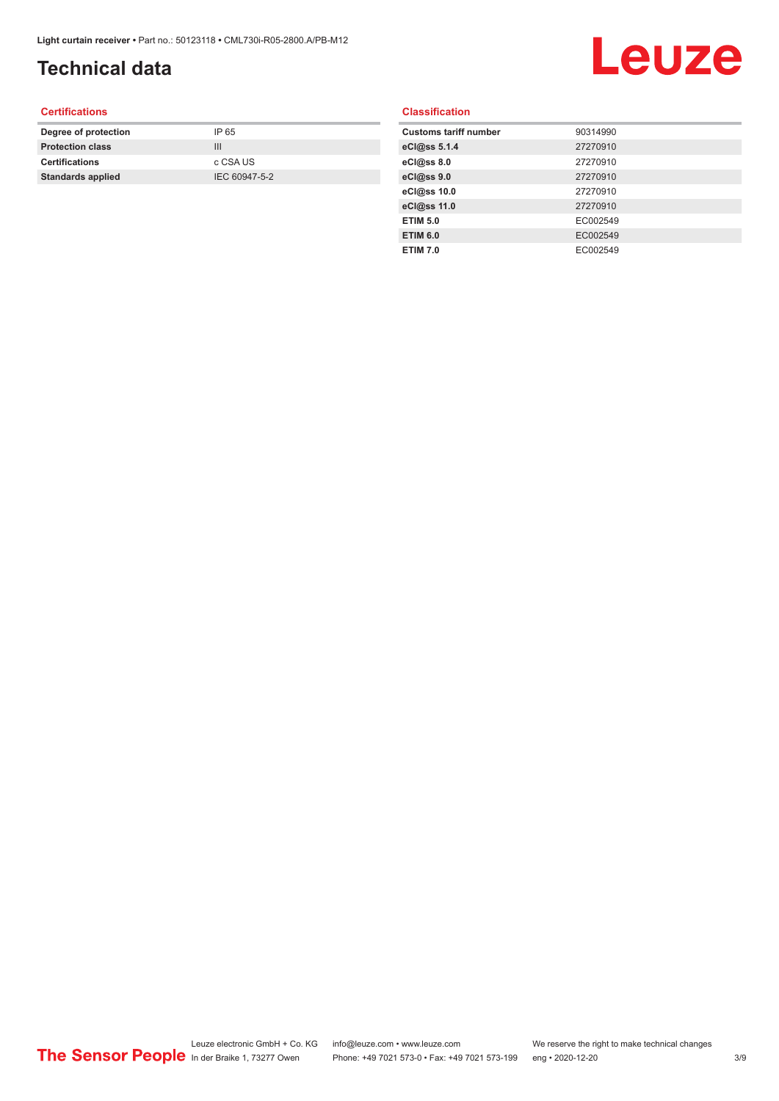## **Technical data**

## Leuze

#### **Certifications**

| Degree of protection     | IP 65         |
|--------------------------|---------------|
| <b>Protection class</b>  | Ш             |
| <b>Certifications</b>    | c CSA US      |
| <b>Standards applied</b> | IEC 60947-5-2 |
|                          |               |

#### **Classification**

| <b>Customs tariff number</b> | 90314990 |
|------------------------------|----------|
| eCl@ss 5.1.4                 | 27270910 |
| eCl@ss 8.0                   | 27270910 |
| eCl@ss 9.0                   | 27270910 |
| eCl@ss 10.0                  | 27270910 |
| eCl@ss 11.0                  | 27270910 |
| <b>ETIM 5.0</b>              | EC002549 |
| <b>ETIM 6.0</b>              | EC002549 |
| <b>ETIM 7.0</b>              | EC002549 |
|                              |          |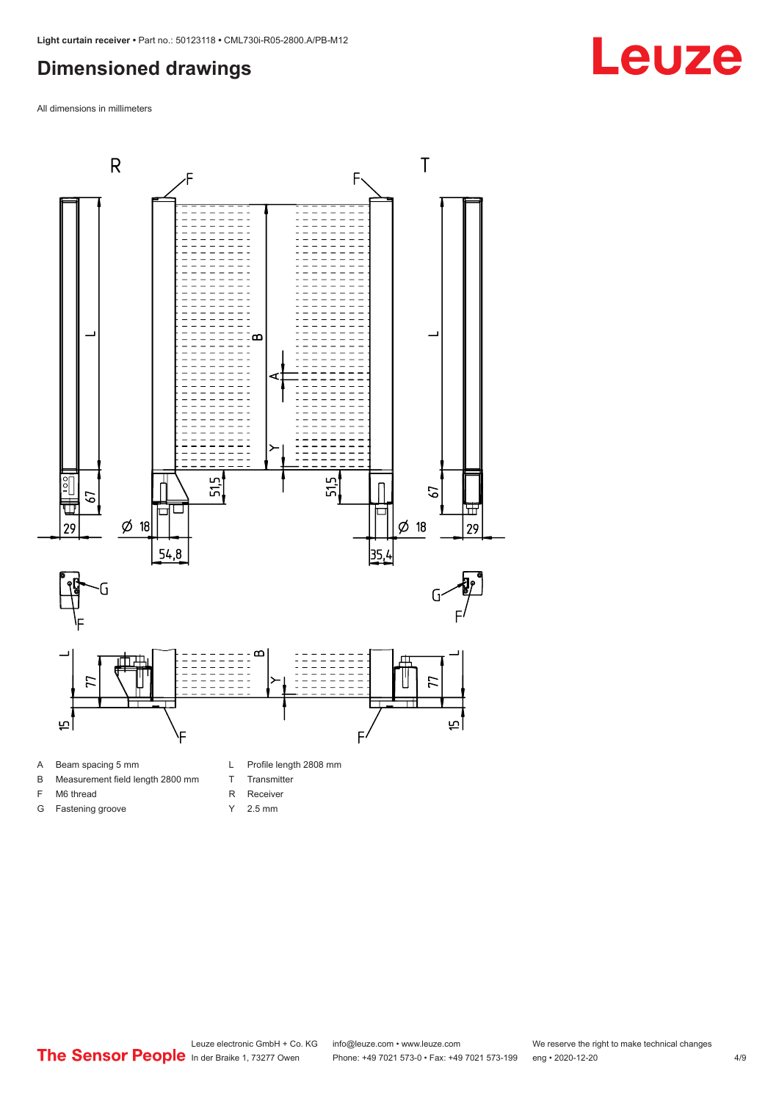#### <span id="page-3-0"></span>**Dimensioned drawings**

All dimensions in millimeters



A Beam spacing 5 mm

G Fastening groove

- B Measurement field length 2800 mm
- F M6 thread
- R Receiver
	- Y 2.5 mm

T Transmitter

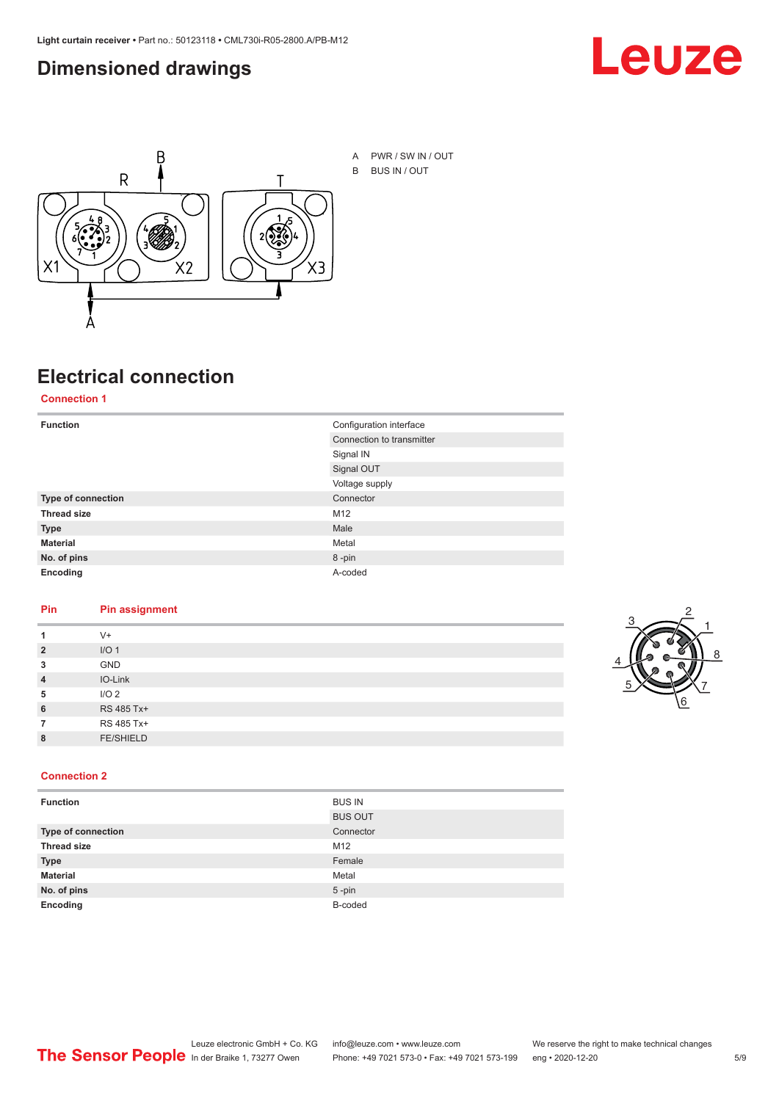#### <span id="page-4-0"></span>**Dimensioned drawings**





A PWR / SW IN / OUT B BUS IN / OUT

## **Electrical connection**

**Connection 1**

| <b>Function</b>    | Configuration interface   |  |
|--------------------|---------------------------|--|
|                    | Connection to transmitter |  |
|                    | Signal IN                 |  |
|                    | Signal OUT                |  |
|                    | Voltage supply            |  |
| Type of connection | Connector                 |  |
| <b>Thread size</b> | M12                       |  |
| <b>Type</b>        | Male                      |  |
| <b>Material</b>    | Metal                     |  |
| No. of pins        | 8-pin                     |  |
| Encoding           | A-coded                   |  |

#### **Pin Pin assignment**

|                | $V +$            |  |  |
|----------------|------------------|--|--|
| $\overline{2}$ | I/O <sub>1</sub> |  |  |
| 3              | <b>GND</b>       |  |  |
| $\overline{4}$ | IO-Link          |  |  |
| 5              | I/O <sub>2</sub> |  |  |
| 6              | RS 485 Tx+       |  |  |
|                | RS 485 Tx+       |  |  |
| 8              | <b>FE/SHIELD</b> |  |  |
|                |                  |  |  |



#### **Connection 2**

| <b>Function</b>    | <b>BUS IN</b>  |
|--------------------|----------------|
|                    | <b>BUS OUT</b> |
| Type of connection | Connector      |
| <b>Thread size</b> | M12            |
| <b>Type</b>        | Female         |
| <b>Material</b>    | Metal          |
| No. of pins        | $5 - pin$      |
| Encoding           | B-coded        |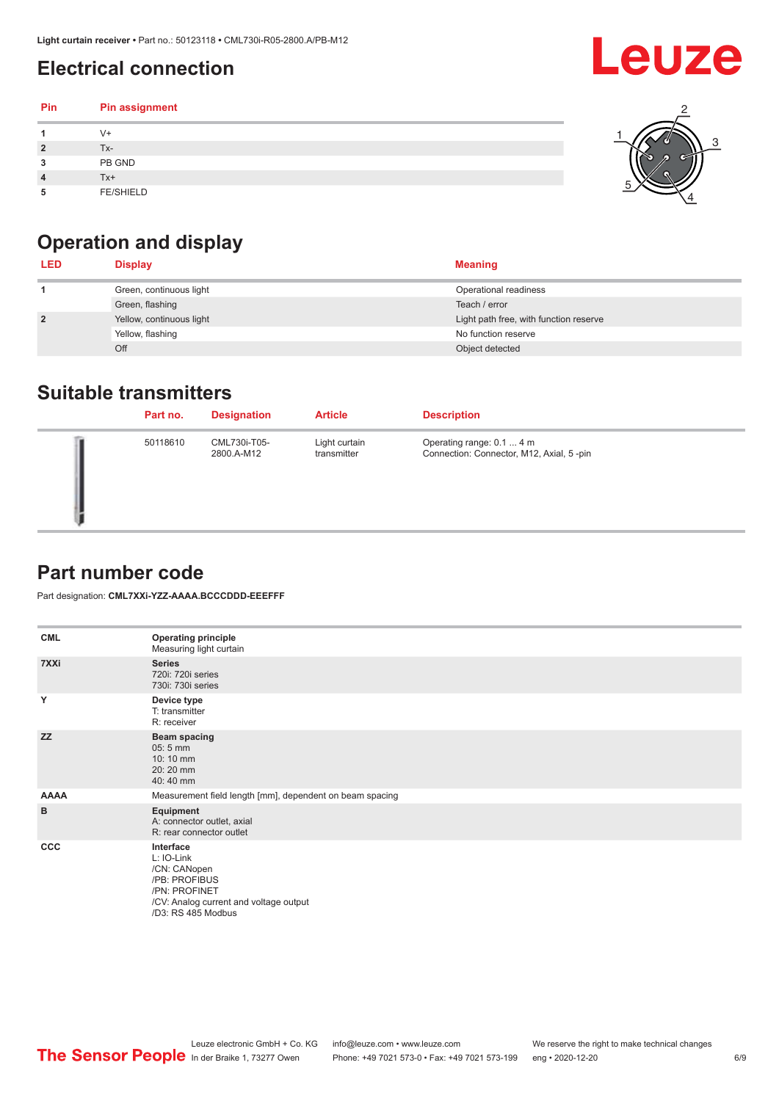## <span id="page-5-0"></span>**Electrical connection**

#### **Pin Pin assignment 1** V+ **2** Tx-**3** PB GND **4** Tx+ **5** FE/SHIELD 3 2 1 5 4



| <b>LED</b>     | <b>Display</b>           | <b>Meaning</b>                         |
|----------------|--------------------------|----------------------------------------|
|                | Green, continuous light  | Operational readiness                  |
|                | Green, flashing          | Teach / error                          |
| $\overline{2}$ | Yellow, continuous light | Light path free, with function reserve |
|                | Yellow, flashing         | No function reserve                    |
|                | Off                      | Object detected                        |

#### **Suitable transmitters**

| Part no. | <b>Designation</b>         | <b>Article</b>               | <b>Description</b>                                                    |
|----------|----------------------------|------------------------------|-----------------------------------------------------------------------|
| 50118610 | CML730i-T05-<br>2800.A-M12 | Light curtain<br>transmitter | Operating range: 0.1  4 m<br>Connection: Connector, M12, Axial, 5-pin |

### **Part number code**

Part designation: **CML7XXi-YZZ-AAAA.BCCCDDD-EEEFFF**

| <b>CML</b>   | <b>Operating principle</b><br>Measuring light curtain                                                                                     |
|--------------|-------------------------------------------------------------------------------------------------------------------------------------------|
| 7XXi         | <b>Series</b><br>720i: 720i series<br>730i: 730i series                                                                                   |
| Y            | Device type<br>T: transmitter<br>R: receiver                                                                                              |
| <b>ZZ</b>    | <b>Beam spacing</b><br>$05:5$ mm<br>10:10 mm<br>20:20 mm<br>40:40 mm                                                                      |
| <b>AAAA</b>  | Measurement field length [mm], dependent on beam spacing                                                                                  |
| B            | Equipment<br>A: connector outlet, axial<br>R: rear connector outlet                                                                       |
| $_{\rm ccc}$ | Interface<br>L: IO-Link<br>/CN: CANopen<br>/PB: PROFIBUS<br>/PN: PROFINET<br>/CV: Analog current and voltage output<br>/D3: RS 485 Modbus |

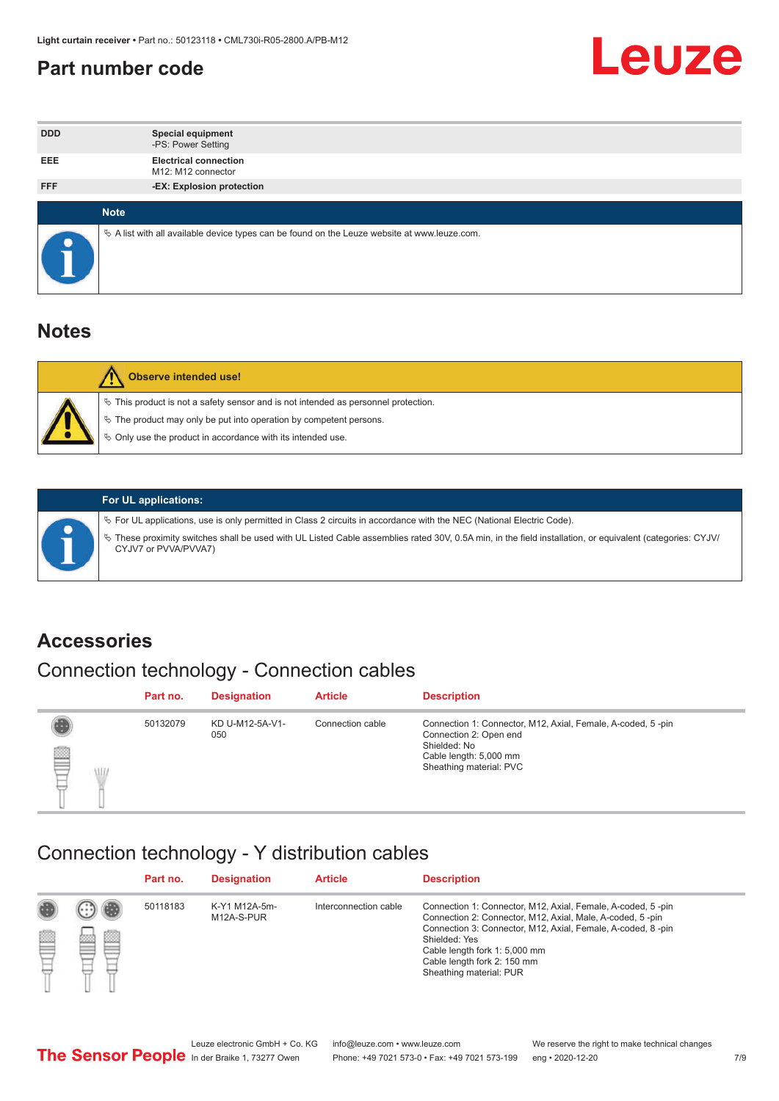#### <span id="page-6-0"></span>**Part number code**



| <b>DDD</b> | <b>Special equipment</b><br>-PS: Power Setting                                                  |
|------------|-------------------------------------------------------------------------------------------------|
| <b>EEE</b> | <b>Electrical connection</b><br>M12: M12 connector                                              |
| <b>FFF</b> | -EX: Explosion protection                                                                       |
|            |                                                                                                 |
|            | <b>Note</b>                                                                                     |
|            | $\&$ A list with all available device types can be found on the Leuze website at www.leuze.com. |

#### **Notes**

| Observe intended use!                                                                                                                                                                                                            |
|----------------------------------------------------------------------------------------------------------------------------------------------------------------------------------------------------------------------------------|
| $\%$ This product is not a safety sensor and is not intended as personnel protection.<br>$\%$ The product may only be put into operation by competent persons.<br>$\%$ Only use the product in accordance with its intended use. |
|                                                                                                                                                                                                                                  |



#### **For UL applications:**

ª For UL applications, use is only permitted in Class 2 circuits in accordance with the NEC (National Electric Code). ª These proximity switches shall be used with UL Listed Cable assemblies rated 30V, 0.5A min, in the field installation, or equivalent (categories: CYJV/ CYJV7 or PVVA/PVVA7)

#### **Accessories**

## Connection technology - Connection cables

|        | Part no. | <b>Designation</b>     | <b>Article</b>   | <b>Description</b>                                                                                                                                         |
|--------|----------|------------------------|------------------|------------------------------------------------------------------------------------------------------------------------------------------------------------|
| 2<br>W | 50132079 | KD U-M12-5A-V1-<br>050 | Connection cable | Connection 1: Connector, M12, Axial, Female, A-coded, 5-pin<br>Connection 2: Open end<br>Shielded: No<br>Cable length: 5,000 mm<br>Sheathing material: PVC |

#### Connection technology - Y distribution cables

|   |           | Part no. | <b>Designation</b>          | <b>Article</b>        | <b>Description</b>                                                                                                                                                                                                                                                                                  |
|---|-----------|----------|-----------------------------|-----------------------|-----------------------------------------------------------------------------------------------------------------------------------------------------------------------------------------------------------------------------------------------------------------------------------------------------|
| ß | ø<br>tos. | 50118183 | K-Y1 M12A-5m-<br>M12A-S-PUR | Interconnection cable | Connection 1: Connector, M12, Axial, Female, A-coded, 5-pin<br>Connection 2: Connector, M12, Axial, Male, A-coded, 5-pin<br>Connection 3: Connector, M12, Axial, Female, A-coded, 8-pin<br>Shielded: Yes<br>Cable length fork 1: 5,000 mm<br>Cable length fork 2: 150 mm<br>Sheathing material: PUR |
|   |           |          |                             |                       |                                                                                                                                                                                                                                                                                                     |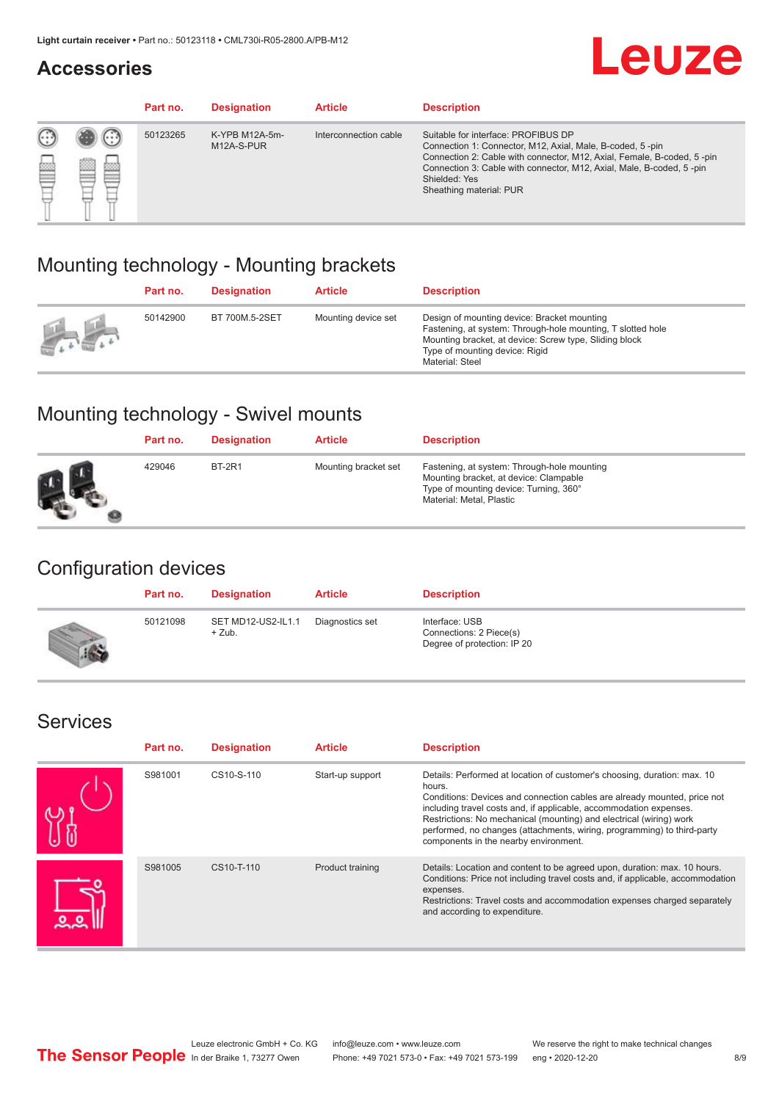#### **Accessories**

## **Leuze**

|   |            | Part no. | <b>Designation</b>           | <b>Article</b>        | <b>Description</b>                                                                                                                                                                                                                                                                             |
|---|------------|----------|------------------------------|-----------------------|------------------------------------------------------------------------------------------------------------------------------------------------------------------------------------------------------------------------------------------------------------------------------------------------|
| œ | 83<br>toni | 50123265 | K-YPB M12A-5m-<br>M12A-S-PUR | Interconnection cable | Suitable for interface: PROFIBUS DP<br>Connection 1: Connector, M12, Axial, Male, B-coded, 5-pin<br>Connection 2: Cable with connector, M12, Axial, Female, B-coded, 5-pin<br>Connection 3: Cable with connector, M12, Axial, Male, B-coded, 5-pin<br>Shielded: Yes<br>Sheathing material: PUR |

### Mounting technology - Mounting brackets

|               | Part no. | <b>Designation</b> | <b>Article</b>      | <b>Description</b>                                                                                                                                                                                                        |
|---------------|----------|--------------------|---------------------|---------------------------------------------------------------------------------------------------------------------------------------------------------------------------------------------------------------------------|
| $\frac{1}{2}$ | 50142900 | BT 700M.5-2SET     | Mounting device set | Design of mounting device: Bracket mounting<br>Fastening, at system: Through-hole mounting, T slotted hole<br>Mounting bracket, at device: Screw type, Sliding block<br>Type of mounting device: Rigid<br>Material: Steel |

### Mounting technology - Swivel mounts

| Part no. | <b>Designation</b> | <b>Article</b>       | <b>Description</b>                                                                                                                                          |
|----------|--------------------|----------------------|-------------------------------------------------------------------------------------------------------------------------------------------------------------|
| 429046   | <b>BT-2R1</b>      | Mounting bracket set | Fastening, at system: Through-hole mounting<br>Mounting bracket, at device: Clampable<br>Type of mounting device: Turning, 360°<br>Material: Metal, Plastic |

### Configuration devices

| Part no. | <b>Designation</b>             | <b>Article</b>  | <b>Description</b>                                                       |
|----------|--------------------------------|-----------------|--------------------------------------------------------------------------|
| 50121098 | SET MD12-US2-IL1.1<br>$+$ Zub. | Diagnostics set | Interface: USB<br>Connections: 2 Piece(s)<br>Degree of protection: IP 20 |

#### Services

| Part no. | <b>Designation</b> | <b>Article</b>   | <b>Description</b>                                                                                                                                                                                                                                                                                                                                                                                                              |
|----------|--------------------|------------------|---------------------------------------------------------------------------------------------------------------------------------------------------------------------------------------------------------------------------------------------------------------------------------------------------------------------------------------------------------------------------------------------------------------------------------|
| S981001  | CS10-S-110         | Start-up support | Details: Performed at location of customer's choosing, duration: max. 10<br>hours.<br>Conditions: Devices and connection cables are already mounted, price not<br>including travel costs and, if applicable, accommodation expenses.<br>Restrictions: No mechanical (mounting) and electrical (wiring) work<br>performed, no changes (attachments, wiring, programming) to third-party<br>components in the nearby environment. |
| S981005  | CS10-T-110         | Product training | Details: Location and content to be agreed upon, duration: max. 10 hours.<br>Conditions: Price not including travel costs and, if applicable, accommodation<br>expenses.<br>Restrictions: Travel costs and accommodation expenses charged separately<br>and according to expenditure.                                                                                                                                           |